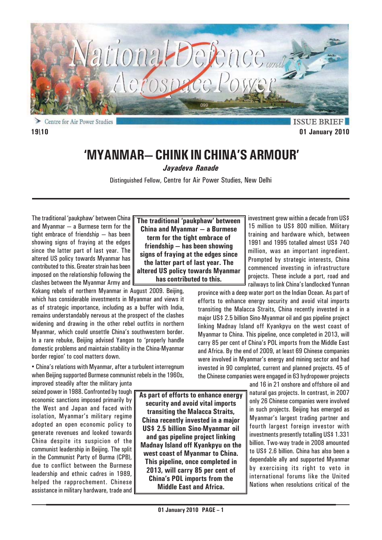

**ISSUE BRIEF 19\10 01 January 2010**

# **'MYANMAR— CHINK IN CHINA'S ARMOUR'**

*Jayadeva Ranade*

Distinguished Fellow, Centre for Air Power Studies, New Delhi

The traditional 'paukphaw' between China and Myanmar — a Burmese term for the tight embrace of friendship — has been showing signs of fraying at the edges since the latter part of last year. The altered US policy towards Myanmar has contributed to this. Greater strain has been imposed on the relationship following the clashes between the Myanmar Army and

Kokang rebels of northern Myanmar in August 2009. Beijing, which has considerable investments in Myanmar and views it as of strategic importance, including as a buffer with India, remains understandably nervous at the prospect of the clashes widening and drawing in the other rebel outfits in northern Myanmar, which could unsettle China's southwestern border. In a rare rebuke, Beijing advised Yangon to 'properly handle domestic problems and maintain stability in the China-Myanmar border region' to cool matters down.

• China's relations with Myanmar, after a turbulent interregnum when Beijing supported Burmese communist rebels in the 1960s,

improved steadily after the military junta seized power in 1988. Confronted by tough economic sanctions imposed primarily by the West and Japan and faced with isolation, Myanmar's military regime adopted an open economic policy to generate revenues and looked towards China despite its suspicion of the communist leadership in Beijing. The split in the Communist Party of Burma (CPB), due to conflict between the Burmese leadership and ethnic cadres in 1989, helped the rapprochement. Chinese assistance in military hardware, trade and

**The traditional 'paukphaw' between China and Myanmar — a Burmese term for the tight embrace of friendship — has been showing signs of fraying at the edges since the latter part of last year. The altered US policy towards Myanmar has contributed to this.**

investment grew within a decade from US\$ 15 million to US\$ 800 million. Military training and hardware which, between 1991 and 1995 totalled almost US\$ 740 million, was an important ingredient. Prompted by strategic interests, China commenced investing in infrastructure projects. These include a port, road and railways to link China's landlocked Yunnan

province with a deep water port on the Indian Ocean. As part of efforts to enhance energy security and avoid vital imports transiting the Malacca Straits, China recently invested in a major US\$ 2.5 billion Sino-Myanmar oil and gas pipeline project linking Madnay Island off Kyankpyu on the west coast of Myanmar to China. This pipeline, once completed in 2013, will carry 85 per cent of China's POL imports from the Middle East and Africa. By the end of 2009, at least 69 Chinese companies were involved in Myanmar's energy and mining sector and had invested in 90 completed, current and planned projects. 45 of the Chinese companies were engaged in 63 hydropower projects

and 16 in 21 onshore and offshore oil and natural gas projects. In contrast, in 2007 only 26 Chinese companies were involved in such projects. Beijing has emerged as Myanmar's largest trading partner and fourth largest foreign investor with investments presently totalling US\$ 1.331 billion. Two-way trade in 2008 amounted to US\$ 2.6 billion. China has also been a dependable ally and supported Myanmar by exercising its right to veto in international forums like the United Nations when resolutions critical of the

**As part of efforts to enhance energy security and avoid vital imports transiting the Malacca Straits, China recently invested in a major US\$ 2.5 billion Sino-Myanmar oil and gas pipeline project linking Madnay Island off Kyankpyu on the west coast of Myanmar to China. This pipeline, once completed in 2013, will carry 85 per cent of China's POL imports from the Middle East and Africa.**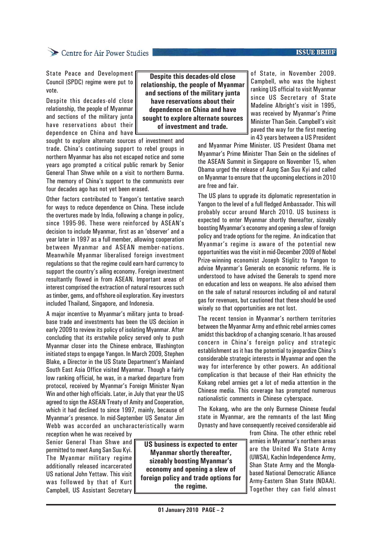#### protocol, received by Myanmar's Foreign Minister Nyan Win and other high officials. Later, in July that year the US

agreed to sign the ASEAN Treaty of Amity and Cooperation, which it had declined to since 1997, mainly, because of Myanmar's presence. In mid-September US Senator Jim Webb was accorded an uncharacteristically warm reception when he was received by Senior General Than Shwe and **US business is expected to enter**

permitted to meet Aung San Suu Kyi. The Myanmar military regime additionally released incarcerated US national John Yettaw. This visit was followed by that of Kurt Campbell, US Assistant Secretary

**01 January 2010 PAGE – 2**

**Myanmar shortly thereafter, sizeably boosting Myanmar's economy and opening a slew of foreign policy and trade options for the regime.**

of State, in November 2009. Campbell, who was the highest ranking US official to visit Myanmar since US Secretary of State Madeline Albright's visit in 1995, was received by Myanmar's Prime Minister Than Sein. Campbell's visit paved the way for the first meeting in 43 years between a US President

and Myanmar Prime Minister. US President Obama met Myanmar's Prime Minister Than Sein on the sidelines of the ASEAN Summit in Singapore on November 15, when Obama urged the release of Aung San Suu Kyi and called on Myanmar to ensure that the upcoming elections in 2010 are free and fair.

The US plans to upgrade its diplomatic representation in Yangon to the level of a full fledged Ambassador. This will probably occur around March 2010. US business is expected to enter Myanmar shortly thereafter, sizeably boosting Myanmar's economy and opening a slew of foreign policy and trade options for the regime. An indication that Myanmar's regime is aware of the potential new opportunities was the visit in mid-December 2009 of Nobel Prize-winning economist Joseph Stiglitz to Yangon to advise Myanmar's Generals on economic reforms. He is understood to have advised the Generals to spend more on education and less on weapons. He also advised them on the sale of natural resources including oil and natural gas for revenues, but cautioned that these should be used wisely so that opportunities are not lost.

The recent tension in Myanmar's northern territories between the Myanmar Army and ethnic rebel armies comes amidst this backdrop of a changing scenario. It has aroused concern in China's foreign policy and strategic establishment as it has the potential to jeopardize China's considerable strategic interests in Myanmar and open the way for interference by other powers. An additional complication is that because of their Han ethnicity the Kokang rebel armies get a lot of media attention in the Chinese media. This coverage has prompted numerous nationalistic comments in Chinese cyberspace.

The Kokang, who are the only Burmese Chinese feudal state in Myanmar, are the remnants of the last Ming Dynasty and have consequently received considerable aid

from China. The other ethnic rebel armies in Myanmar's northern areas are the United Wa State Army (UWSA), Kachin Independence Army, Shan State Army and the Monglabased National Democratic Alliance Army-Eastern Shan State (NDAA). Together they can field almost

**Despite this decades-old close relationship, the people of Myanmar and sections of the military junta have reservations about their dependence on China and have sought to explore alternate sources of investment and trade.**

sought to explore alternate sources of investment and trade. China's continuing support to rebel groups in northern Myanmar has also not escaped notice and some years ago prompted a critical public remark by Senior General Than Shwe while on a visit to northern Burma. The memory of China's support to the communists over

Other factors contributed to Yangon's tentative search for ways to reduce dependence on China. These include the overtures made by India, following a change in policy, since 1995-96. These were reinforced by ASEAN's decision to include Myanmar, first as an 'observer' and a year later in 1997 as a full member, allowing cooperation between Myanmar and ASEAN member-nations. Meanwhile Myanmar liberalised foreign investment regulations so that the regime could earn hard currency to support the country's ailing economy. Foreign investment resultantly flowed in from ASEAN. Important areas of interest comprised the extraction of natural resources such as timber, gems, and offshore oil exploration. Key investors

State Peace and Development Council (SPDC) regime were put to

Despite this decades-old close relationship, the people of Myanmar and sections of the military junta have reservations about their dependence on China and have

four decades ago has not yet been erased.

included Thailand, Singapore, and Indonesia.

A major incentive to Myanmar's military junta to broadbase trade and investments has been the US decision in early 2009 to review its policy of isolating Myanmar. After concluding that its erstwhile policy served only to push Myanmar closer into the Chinese embrace, Washington initiated steps to engage Yangon. In March 2009, Stephen Blake, a Director in the US State Department's Mainland South East Asia Office visited Myanmar. Though a fairly low ranking official, he was, in a marked departure from

vote.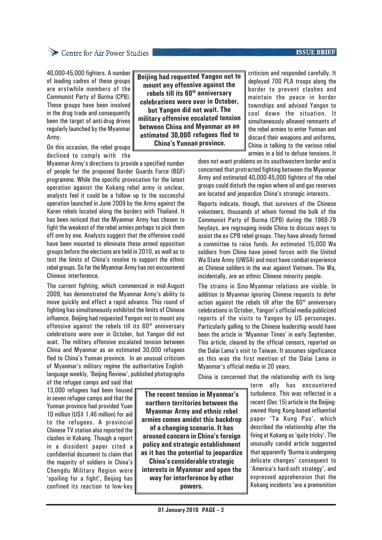### **ISSUE BRIEF**

## Centre for Air Power Studies

40,000-45,000 fighters. A number of leading cadres of these groups are erstwhile members of the Communist Party of Burma (CPB). These groups have been involved in the drug trade and consequently been the target of anti-drug drives regularly launched by the Myanmar Army.

On this occasion, the rebel groups declined to comply with the

Myanmar Army's directions to provide a specified number of people for the proposed Border Guards Force (BGF) programme. While the specific provocation for the latest operation against the Kokang rebel army is unclear, analysts feel it could be a follow up to the successful operation launched in June 2009 by the Army against the Karen rebels located along the borders with Thailand. It has been noticed that the Myanmar Army has chosen to fight the weakest of the rebel armies perhaps to pick them off one by one. Analysts suggest that the offensive could have been mounted to eliminate these armed opposition groups before the elections are held in 2010, as well as to test the limits of China's resolve to support the ethnic rebel groups. So far the Myanmar Army has not encountered Chinese interference.

The current fighting, which commenced in mid-August 2009, has demonstrated the Myanmar Army's ability to move quickly and effect a rapid advance. This round of fighting has simultaneously exhibited the limits of Chinese influence. Beijing had requested Yangon not to mount any offensive against the rebels till its  $60<sup>th</sup>$  anniversary celebrations were over in October, but Yangon did not wait. The military offensive escalated tension between China and Myanmar as an estimated 30,000 refugees fled to China's Yunnan province. In an unusual criticism of Myanmar's military regime the authoritative Englishlanguage weekly, 'Beijing Review', published photographs

of the refugee camps and said that 13,000 refugees had been housed in seven refugee camps and that the Yunnan province had provided Yuan 10 million (US\$ 1.46 million) for aid to the refugees. A provincial Chinese TV station also reported the clashes in Kokang. Though a report in a dissident paper cited a confidential document to claim that the majority of soldiers in China's Chengdu Military Region were 'spoiling for a fight', Beijing has confined its reaction to low-key **Beijing had requested Yangon not to mount any offensive against the rebels till its 60th anniversary celebrations were over in October, but Yangon did not wait. The military offensive escalated tension between China and Myanmar as an estimated 30,000 refugees fled to China's Yunnan province.**

criticism and responded carefully. It deployed 700 PLA troops along the border to prevent clashes and maintain the peace in border townships and advised Yangon to cool down the situation. It simultaneously allowed remnants of the rebel armies to enter Yunnan and discard their weapons and uniforms. China is talking to the various rebel armies in a bid to defuse tensions. It

does not want problems on its southwestern border and is concerned that protracted fighting between the Myanmar Army and estimated 40,000-45,000 fighters of the rebel groups could disturb the region where oil and gas reserves are located and jeopardize China's strategic interests.

Reports indicate, though, that survivors of the Chinese volunteers, thousands of whom formed the bulk of the Communist Party of Burma (CPB) during the 1968-79 heydays, are regrouping inside China to discuss ways to assist the ex-CPB rebel groups. They have already formed a committee to raise funds. An estimated 15,000 Wa soldiers from China have joined forces with the United Wa State Army (UWSA) and most have combat experience as Chinese soldiers in the war against Vietnam. The Wa, incidentally, are an ethnic Chinese minority people.

The strains in Sino-Myanmar relations are visible. In addition to Myanmar ignoring Chinese requests to defer action against the rebels till after the  $60<sup>th</sup>$  anniversary celebrations in October, Yangon's official media publicized reports of the visits to Yangon by US personages. Particularly galling to the Chinese leadership would have been the article in 'Myanmar Times' in early September. This article, cleared by the official censors, reported on the Dalai Lama's visit to Taiwan. It assumes significance as this was the first mention of the Dalai Lama in Myanmar's official media in 20 years.

China is concerned that the relationship with its long-

term ally has encountered turbulence. This was reflected in a recent (Dec 15) article in the Beijingowned Hong Kong-based influential paper 'Ta Kung Pao', which described the relationship after the firing at Kokang as 'quite tricky'. The unusually candid article suggested that apparently 'Burma is undergoing delicate changes' consequent to 'America's hard-soft strategy', and expressed apprehension that the Kokang incidents 'are a premonition

**The recent tension in Myanmar's northern territories between the Myanmar Army and ethnic rebel armies comes amidst this backdrop of a changing scenario. It has aroused concern in China's foreign policy and strategic establishment as it has the potential to jeopardize China's considerable strategic interests in Myanmar and open the way for interference by other powers.**